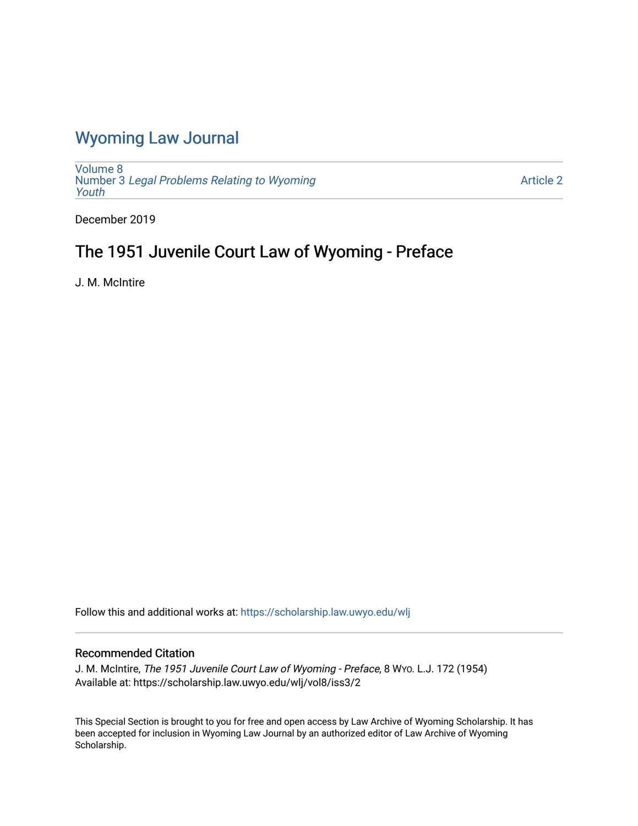## [Wyoming Law Journal](https://scholarship.law.uwyo.edu/wlj)

[Volume 8](https://scholarship.law.uwyo.edu/wlj/vol8) Number 3 [Legal Problems Relating to Wyoming](https://scholarship.law.uwyo.edu/wlj/vol8/iss3) [Youth](https://scholarship.law.uwyo.edu/wlj/vol8/iss3)

[Article 2](https://scholarship.law.uwyo.edu/wlj/vol8/iss3/2) 

December 2019

# The 1951 Juvenile Court Law of Wyoming - Preface

J. M. McIntire

Follow this and additional works at: [https://scholarship.law.uwyo.edu/wlj](https://scholarship.law.uwyo.edu/wlj?utm_source=scholarship.law.uwyo.edu%2Fwlj%2Fvol8%2Fiss3%2F2&utm_medium=PDF&utm_campaign=PDFCoverPages) 

### Recommended Citation

J. M. McIntire, The 1951 Juvenile Court Law of Wyoming - Preface, 8 WYO. L.J. 172 (1954) Available at: https://scholarship.law.uwyo.edu/wlj/vol8/iss3/2

This Special Section is brought to you for free and open access by Law Archive of Wyoming Scholarship. It has been accepted for inclusion in Wyoming Law Journal by an authorized editor of Law Archive of Wyoming Scholarship.